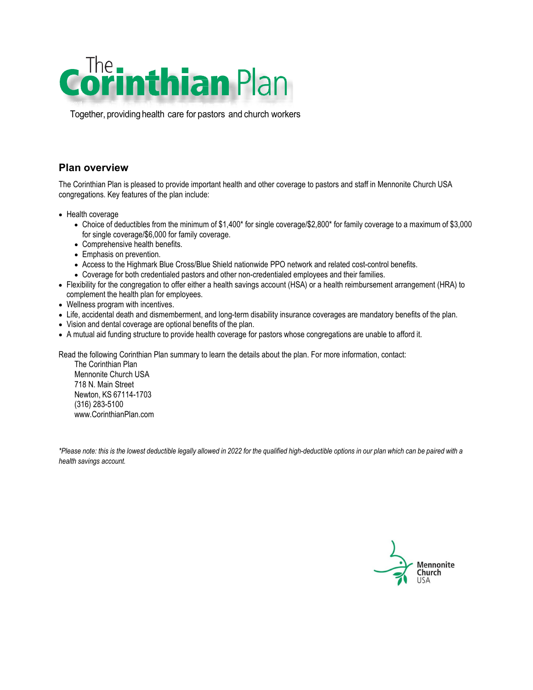

Together, providing health care for pastors and church workers

## **Plan overview**

The Corinthian Plan is pleased to provide important health and other coverage to pastors and staff in Mennonite Church USA congregations. Key features of the plan include:

- Health coverage
	- Choice of deductibles from the minimum of \$1,400\* for single coverage/\$2,800\* for family coverage to a maximum of \$3,000 for single coverage/\$6,000 for family coverage.
	- Comprehensive health benefits.
	- Emphasis on prevention.
	- Access to the Highmark Blue Cross/Blue Shield nationwide PPO network and related cost-control benefits.
	- Coverage for both credentialed pastors and other non-credentialed employees and their families.
- Flexibility for the congregation to offer either a health savings account (HSA) or a health reimbursement arrangement (HRA) to complement the health plan for employees.
- Wellness program with incentives.
- Life, accidental death and dismemberment, and long-term disability insurance coverages are mandatory benefits of the plan.
- Vision and dental coverage are optional benefits of the plan.
- A mutual aid funding structure to provide health coverage for pastors whose congregations are unable to afford it.

Read the following Corinthian Plan summary to learn the details about the plan. For more information, contact:

The Corinthian Plan Mennonite Church USA 718 N. Main Street Newton, KS 67114-1703 (316) 283-5100 [www.CorinthianPlan.com](http://www.corinthianplan.com/)

\*Please note: this is the lowest deductible legally allowed in 2022 for the qualified high-deductible options in our plan which can be paired with a *health savings account.*

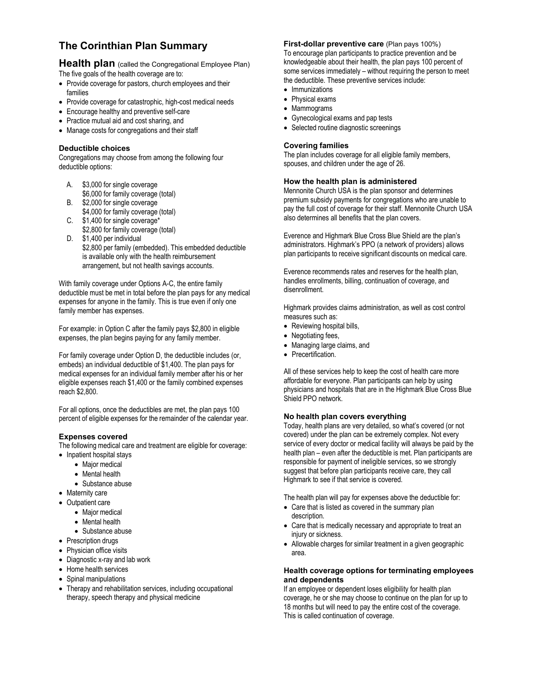# **The Corinthian Plan Summary**

**Health plan** (called the Congregational Employee Plan) The five goals of the health coverage are to:

- Provide coverage for pastors, church employees and their families
- Provide coverage for catastrophic, high-cost medical needs
- Encourage healthy and preventive self-care
- Practice mutual aid and cost sharing, and
- Manage costs for congregations and their staff

### **Deductible choices**

Congregations may choose from among the following four deductible options:

- A. \$3,000 for single coverage \$6,000 for family coverage (total)
- B. \$2,000 for single coverage \$4,000 for family coverage (total)
- C. \$1,400 for single coverage\* \$2,800 for family coverage (total)
- D. \$1,400 per individual \$2,800 per family (embedded). This embedded deductible is available only with the health reimbursement arrangement, but not health savings accounts.

With family coverage under Options A-C, the entire family deductible must be met in total before the plan pays for any medical expenses for anyone in the family. This is true even if only one family member has expenses.

For example: in Option C after the family pays \$2,800 in eligible expenses, the plan begins paying for any family member.

For family coverage under Option D, the deductible includes (or, embeds) an individual deductible of \$1,400. The plan pays for medical expenses for an individual family member after his or her eligible expenses reach \$1,400 or the family combined expenses reach \$2,800.

For all options, once the deductibles are met, the plan pays 100 percent of eligible expenses for the remainder of the calendar year.

### **Expenses covered**

The following medical care and treatment are eligible for coverage:

- Inpatient hospital stays
	- Major medical
	- Mental health
	- Substance abuse
- Maternity care
- Outpatient care
	- Major medical
	- Mental health
	- Substance abuse
- Prescription drugs
- Physician office visits
- Diagnostic x-ray and lab work
- Home health services
- Spinal manipulations
- Therapy and rehabilitation services, including occupational therapy, speech therapy and physical medicine

**First-dollar preventive care** (Plan pays 100%) To encourage plan participants to practice prevention and be knowledgeable about their health, the plan pays 100 percent of some services immediately – without requiring the person to meet the deductible. These preventive services include:

- Immunizations
- Physical exams
- Mammograms
- Gynecological exams and pap tests
- Selected routine diagnostic screenings

#### **Covering families**

The plan includes coverage for all eligible family members, spouses, and children under the age of 26.

#### **How the health plan is administered**

Mennonite Church USA is the plan sponsor and determines premium subsidy payments for congregations who are unable to pay the full cost of coverage for their staff. Mennonite Church USA also determines all benefits that the plan covers.

Everence and Highmark Blue Cross Blue Shield are the plan's administrators. Highmark's PPO (a network of providers) allows plan participants to receive significant discounts on medical care.

Everence recommends rates and reserves for the health plan, handles enrollments, billing, continuation of coverage, and disenrollment.

Highmark provides claims administration, as well as cost control measures such as:

- Reviewing hospital bills,
- Negotiating fees,
- Managing large claims, and
- Precertification.

All of these services help to keep the cost of health care more affordable for everyone. Plan participants can help by using physicians and hospitals that are in the Highmark Blue Cross Blue Shield PPO network.

### **No health plan covers everything**

Today, health plans are very detailed, so what's covered (or not covered) under the plan can be extremely complex. Not every service of every doctor or medical facility will always be paid by the health plan – even after the deductible is met. Plan participants are responsible for payment of ineligible services, so we strongly suggest that before plan participants receive care, they call Highmark to see if that service is covered.

The health plan will pay for expenses above the deductible for:

- Care that is listed as covered in the summary plan description.
- Care that is medically necessary and appropriate to treat an injury or sickness.
- Allowable charges for similar treatment in a given geographic area.

#### **Health coverage options for terminating employees and dependents**

If an employee or dependent loses eligibility for health plan coverage, he or she may choose to continue on the plan for up to 18 months but will need to pay the entire cost of the coverage. This is called continuation of coverage.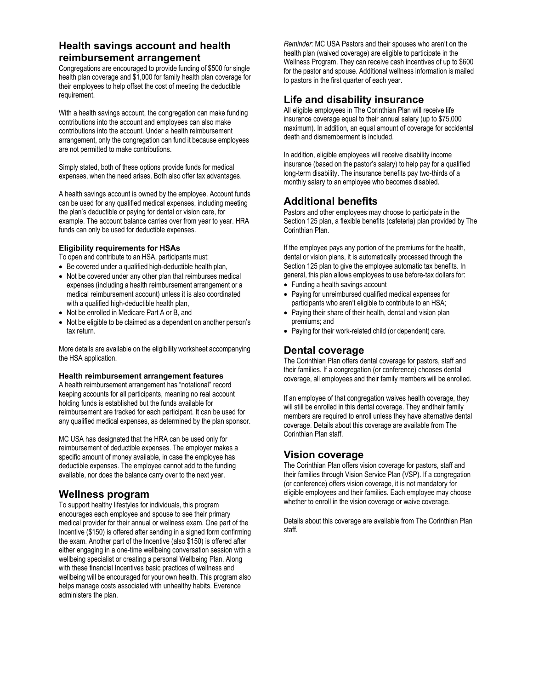## **Health savings account and health reimbursement arrangement**

Congregations are encouraged to provide funding of \$500 for single health plan coverage and \$1,000 for family health plan coverage for their employees to help offset the cost of meeting the deductible requirement.

With a health savings account, the congregation can make funding contributions into the account and employees can also make contributions into the account. Under a health reimbursement arrangement, only the congregation can fund it because employees are not permitted to make contributions.

Simply stated, both of these options provide funds for medical expenses, when the need arises. Both also offer tax advantages.

A health savings account is owned by the employee. Account funds can be used for any qualified medical expenses, including meeting the plan's deductible or paying for dental or vision care, for example. The account balance carries over from year to year. HRA funds can only be used for deductible expenses.

### **Eligibility requirements for HSAs**

To open and contribute to an HSA, participants must:

- Be covered under a qualified high-deductible health plan,
- Not be covered under any other plan that reimburses medical expenses (including a health reimbursement arrangement or a medical reimbursement account) unless it is also coordinated with a qualified high-deductible health plan,
- Not be enrolled in Medicare Part A or B, and
- Not be eligible to be claimed as a dependent on another person's tax return.

More details are available on the eligibility worksheet accompanying the HSA application.

### **Health reimbursement arrangement features**

A health reimbursement arrangement has "notational" record keeping accounts for all participants, meaning no real account holding funds is established but the funds available for reimbursement are tracked for each participant. It can be used for any qualified medical expenses, as determined by the plan sponsor.

MC USA has designated that the HRA can be used only for reimbursement of deductible expenses. The employer makes a specific amount of money available, in case the employee has deductible expenses. The employee cannot add to the funding available, nor does the balance carry over to the next year.

### **Wellness program**

To support healthy lifestyles for individuals, this program encourages each employee and spouse to see their primary medical provider for their annual or wellness exam. One part of the Incentive (\$150) is offered after sending in a signed form confirming the exam. Another part of the Incentive (also \$150) is offered after either engaging in a one-time wellbeing conversation session with a wellbeing specialist or creating a personal Wellbeing Plan. Along with these financial Incentives basic practices of wellness and wellbeing will be encouraged for your own health. This program also helps manage costs associated with unhealthy habits. Everence administers the plan.

*Reminder:* MC USA Pastors and their spouses who aren't on the health plan (waived coverage) are eligible to participate in the Wellness Program. They can receive cash incentives of up to \$600 for the pastor and spouse. Additional wellness information is mailed to pastors in the first quarter of each year.

## **Life and disability insurance**

All eligible employees in The Corinthian Plan will receive life insurance coverage equal to their annual salary (up to \$75,000 maximum). In addition, an equal amount of coverage for accidental death and dismemberment is included.

In addition, eligible employees will receive disability income insurance (based on the pastor's salary) to help pay for a qualified long-term disability. The insurance benefits pay two-thirds of a monthly salary to an employee who becomes disabled.

## **Additional benefits**

Pastors and other employees may choose to participate in the Section 125 plan, a flexible benefits (cafeteria) plan provided by The Corinthian Plan.

If the employee pays any portion of the premiums for the health, dental or vision plans, it is automatically processed through the Section 125 plan to give the employee automatic tax benefits. In general, this plan allows employees to use before-tax dollars for:

- Funding a health savings account
- Paying for unreimbursed qualified medical expenses for participants who aren't eligible to contribute to an HSA;
- Paying their share of their health, dental and vision plan premiums; and
- Paying for their work-related child (or dependent) care.

### **Dental coverage**

The Corinthian Plan offers dental coverage for pastors, staff and their families. If a congregation (or conference) chooses dental coverage, all employees and their family members will be enrolled.

If an employee of that congregation waives health coverage, they will still be enrolled in this dental coverage. They andtheir family members are required to enroll unless they have alternative dental coverage. Details about this coverage are available from The Corinthian Plan staff.

## **Vision coverage**

The Corinthian Plan offers vision coverage for pastors, staff and their families through Vision Service Plan (VSP). If a congregation (or conference) offers vision coverage, it is not mandatory for eligible employees and their families. Each employee may choose whether to enroll in the vision coverage or waive coverage.

Details about this coverage are available from The Corinthian Plan staff.